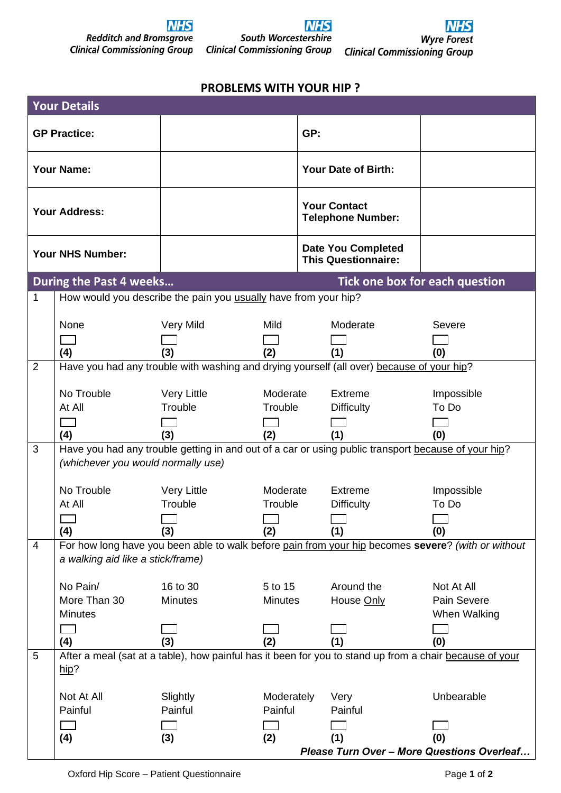

## **NHS** South Worcestershire **Clinical Commissioning Group**



## **PROBLEMS WITH YOUR HIP ?**

| <b>Your Details</b>  |                                                                                                                                           |                    |            |     |                                                         |                                                                                                         |  |  |  |  |
|----------------------|-------------------------------------------------------------------------------------------------------------------------------------------|--------------------|------------|-----|---------------------------------------------------------|---------------------------------------------------------------------------------------------------------|--|--|--|--|
| <b>GP Practice:</b>  |                                                                                                                                           |                    |            | GP: |                                                         |                                                                                                         |  |  |  |  |
| <b>Your Name:</b>    |                                                                                                                                           |                    |            |     | Your Date of Birth:                                     |                                                                                                         |  |  |  |  |
| <b>Your Address:</b> |                                                                                                                                           |                    |            |     | <b>Your Contact</b><br><b>Telephone Number:</b>         |                                                                                                         |  |  |  |  |
| Your NHS Number:     |                                                                                                                                           |                    |            |     | <b>Date You Completed</b><br><b>This Questionnaire:</b> |                                                                                                         |  |  |  |  |
|                      | <b>During the Past 4 weeks</b>                                                                                                            |                    |            |     |                                                         | Tick one box for each question                                                                          |  |  |  |  |
| 1                    | How would you describe the pain you usually have from your hip?                                                                           |                    |            |     |                                                         |                                                                                                         |  |  |  |  |
|                      |                                                                                                                                           |                    |            |     |                                                         |                                                                                                         |  |  |  |  |
|                      | None                                                                                                                                      | Very Mild          | Mild       |     | Moderate                                                | Severe                                                                                                  |  |  |  |  |
|                      | (4)                                                                                                                                       | (3)                | (2)        |     | (1)                                                     | (0)                                                                                                     |  |  |  |  |
| 2                    | Have you had any trouble with washing and drying yourself (all over) because of your hip?                                                 |                    |            |     |                                                         |                                                                                                         |  |  |  |  |
|                      |                                                                                                                                           |                    |            |     |                                                         |                                                                                                         |  |  |  |  |
|                      | No Trouble                                                                                                                                | <b>Very Little</b> | Moderate   |     | Extreme                                                 | Impossible                                                                                              |  |  |  |  |
|                      | At All                                                                                                                                    | Trouble            | Trouble    |     | <b>Difficulty</b>                                       | To Do                                                                                                   |  |  |  |  |
|                      |                                                                                                                                           |                    |            |     |                                                         |                                                                                                         |  |  |  |  |
|                      | (4)                                                                                                                                       | (3)                | (2)        |     | (1)                                                     | (0)                                                                                                     |  |  |  |  |
| 3                    | Have you had any trouble getting in and out of a car or using public transport because of your hip?<br>(whichever you would normally use) |                    |            |     |                                                         |                                                                                                         |  |  |  |  |
|                      |                                                                                                                                           |                    |            |     |                                                         |                                                                                                         |  |  |  |  |
|                      | No Trouble                                                                                                                                | <b>Very Little</b> | Moderate   |     | Extreme                                                 | Impossible                                                                                              |  |  |  |  |
|                      | At All                                                                                                                                    | Trouble            | Trouble    |     | <b>Difficulty</b>                                       | To Do                                                                                                   |  |  |  |  |
|                      |                                                                                                                                           |                    |            |     |                                                         |                                                                                                         |  |  |  |  |
|                      | (4)                                                                                                                                       | (3)                | (2)        |     | (1)                                                     | (0)                                                                                                     |  |  |  |  |
| 4                    |                                                                                                                                           |                    |            |     |                                                         | For how long have you been able to walk before pain from your hip becomes severe? (with or without      |  |  |  |  |
|                      | a walking aid like a stick/frame)                                                                                                         |                    |            |     |                                                         |                                                                                                         |  |  |  |  |
|                      | No Pain/                                                                                                                                  | 16 to 30           | 5 to 15    |     | Around the                                              | Not At All                                                                                              |  |  |  |  |
|                      | More Than 30                                                                                                                              | <b>Minutes</b>     | Minutes    |     | House Only                                              | Pain Severe                                                                                             |  |  |  |  |
|                      | <b>Minutes</b>                                                                                                                            |                    |            |     |                                                         | When Walking                                                                                            |  |  |  |  |
|                      |                                                                                                                                           |                    |            |     |                                                         |                                                                                                         |  |  |  |  |
|                      | (4)                                                                                                                                       | (3)                | (2)        |     | (1)                                                     | (0)                                                                                                     |  |  |  |  |
| 5                    | hip?                                                                                                                                      |                    |            |     |                                                         | After a meal (sat at a table), how painful has it been for you to stand up from a chair because of your |  |  |  |  |
|                      | Not At All                                                                                                                                | Slightly           | Moderately |     | Very                                                    | Unbearable                                                                                              |  |  |  |  |
|                      | Painful                                                                                                                                   | Painful            | Painful    |     | Painful                                                 |                                                                                                         |  |  |  |  |
|                      |                                                                                                                                           |                    |            |     |                                                         |                                                                                                         |  |  |  |  |
|                      | (4)                                                                                                                                       | (3)                | (2)        |     | (1)                                                     | (0)                                                                                                     |  |  |  |  |
|                      | Please Turn Over - More Questions Overleaf                                                                                                |                    |            |     |                                                         |                                                                                                         |  |  |  |  |